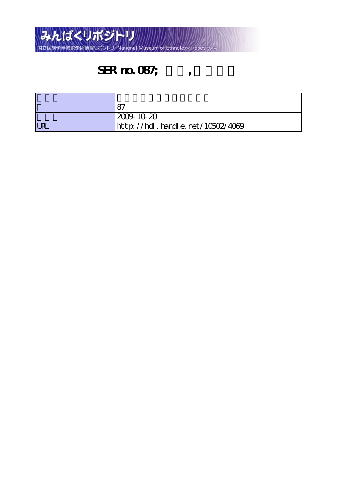

## SER no. 087;  $\qquad \qquad$

|            | $ 2009 \cdot 10 \cdot 20$        |
|------------|----------------------------------|
| <b>LRI</b> | http://hdl.handle.net/10502/4069 |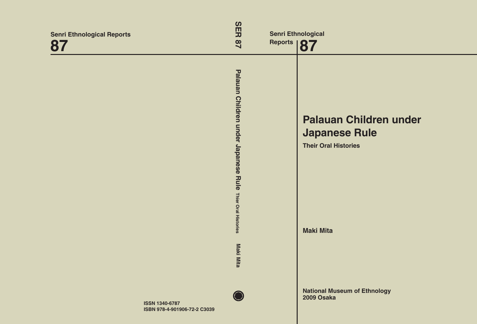| <b>Senri Ethnological Reports</b><br>87               | <b>SER</b><br>28                                                    | <b>Senri Ethnological</b><br>Reports   87 |                                                                                      |
|-------------------------------------------------------|---------------------------------------------------------------------|-------------------------------------------|--------------------------------------------------------------------------------------|
|                                                       | Palauan Children under Japanese Rule<br><b>Thier Oral Histories</b> |                                           | <b>Palauan Children under</b><br><b>Japanese Rule</b><br><b>Their Oral Histories</b> |
|                                                       | Maki Mita                                                           |                                           | <b>Maki Mita</b>                                                                     |
| <b>ISSN 1340-6787</b><br>ISBN 978-4-901906-72-2 C3039 |                                                                     |                                           | <b>National Museum of Ethnology</b><br>2009 Osaka                                    |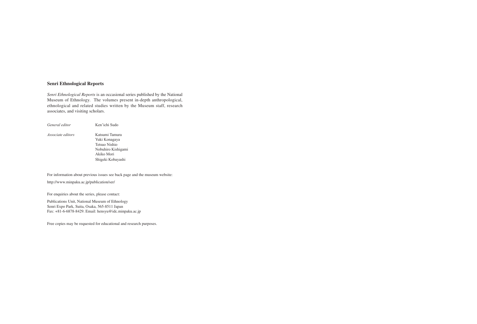### **Senri Ethnological Reports**

*Senri Ethnological Reports* is an occasional series published by the National Museum of Ethnology. The volumes present in-depth anthropological, ethnological and related studies written by the Museum staff, research associates, and visiting scholars.

| General editor           | Ken'ichi Sudo      |
|--------------------------|--------------------|
| <i>Associate editors</i> | Katsumi Tamura     |
|                          | Yuki Konagaya      |
|                          | Tetsuo Nishio      |
|                          | Nobuhiro Kishigami |
|                          | Akiko Mori         |
|                          | Shigeki Kobayashi  |
|                          |                    |

For information about previous issues see back page and the museum website:

http://www.minpaku.ac.jp/publication/ser/

For enquiries about the series, please contact:

Publications Unit, National Museum of Ethnology Senri Expo Park, Suita, Osaka, 565-8511 Japan Fax: +81-6-6878-8429. Email: hensyu@idc.minpaku.ac.jp

Free copies may be requested for educational and research purposes.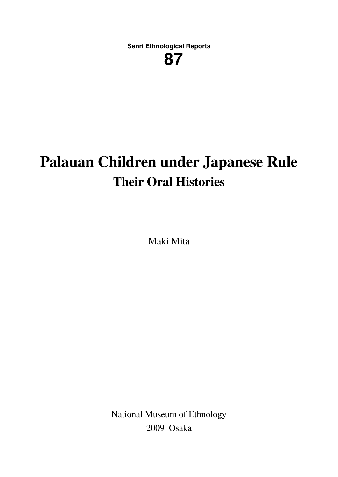**Senri Ethnological Reports**

**287**

# **Palauan Children under Japanese Rule Their Oral Histories**

Maki Mita

National Museum of Ethnology 2009 Osaka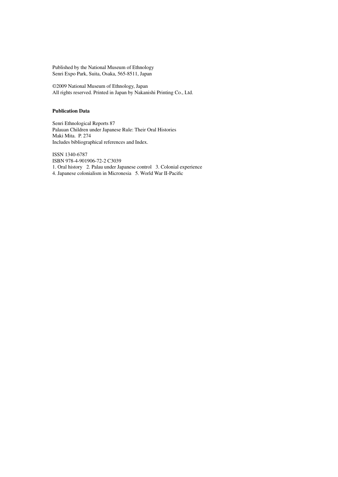Published by the National Museum of Ethnology Senri Expo Park, Suita, Osaka, 565-8511, Japan

©2009 National Museum of Ethnology, Japan All rights reserved. Printed in Japan by Nakanishi Printing Co., Ltd.

#### **Publication Data**

Senri Ethnological Reports 87 Palauan Children under Japanese Rule: Their Oral Histories Maki Mita. P. 274 Includes bibliographical references and Index.

ISSN 1340-6787 ISBN 978-4-901906-72-2 C3039 1. Oral history 2. Palau under Japanese control 3. Colonial experience 4. Japanese colonialism in Micronesia 5. World War II-Pacific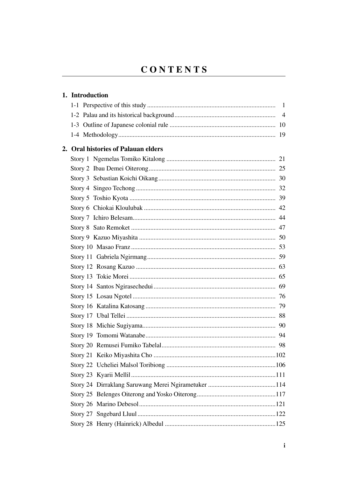### CONTENTS

| 1. Introduction                     |  |
|-------------------------------------|--|
|                                     |  |
|                                     |  |
|                                     |  |
|                                     |  |
| 2. Oral histories of Palauan elders |  |
|                                     |  |
|                                     |  |
|                                     |  |
|                                     |  |
|                                     |  |
|                                     |  |
|                                     |  |
|                                     |  |
|                                     |  |
|                                     |  |
|                                     |  |
|                                     |  |
|                                     |  |
|                                     |  |
|                                     |  |
|                                     |  |
|                                     |  |
|                                     |  |
|                                     |  |
|                                     |  |
|                                     |  |
|                                     |  |
|                                     |  |
|                                     |  |
|                                     |  |
|                                     |  |
|                                     |  |
|                                     |  |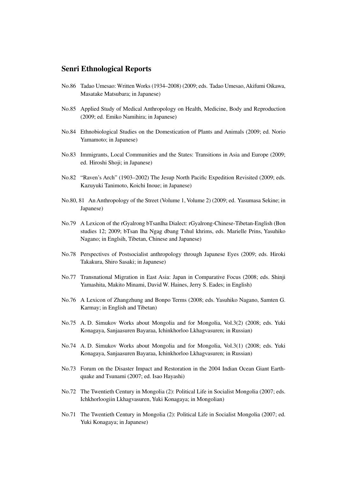#### **Senri Ethnological Reports**

- No.86 Tadao Umesao: Written Works (1934–2008) (2009; eds. Tadao Umesao, Akifumi Oikawa, Masatake Matsubara; in Japanese)
- No.85 Applied Study of Medical Anthropology on Health, Medicine, Body and Reproduction (2009; ed. Emiko Namihira; in Japanese)
- No.84 Ethnobiological Studies on the Domestication of Plants and Animals (2009; ed. Norio Yamamoto; in Japanese)
- No.83 Immigrants, Local Communities and the States: Transitions in Asia and Europe (2009; ed. Hiroshi Shoji; in Japanese)
- No.82 "Raven's Arch" (1903–2002) The Jesup North Pacific Expedition Revisited (2009; eds. Kazuyuki Tanimoto, Koichi Inoue; in Japanese)
- No.80, 81 An Anthropology of the Street (Volume 1, Volume 2) (2009; ed. Yasumasa Sekine; in Japanese)
- No.79 A Lexicon of the rGyalrong bTsanlha Dialect: rGyalrong-Chinese-Tibetan-English (Bon studies 12; 2009; bTsan Iha Ngag dbang Tshul khrims, eds. Marielle Prins, Yasuhiko Nagano; in Englsih, Tibetan, Chinese and Japanese)
- No.78 Perspectives of Postsocialist anthropology through Japanese Eyes (2009; eds. Hiroki Takakura, Shiro Sasaki; in Japanese)
- No.77 Transnational Migration in East Asia: Japan in Comparative Focus (2008; eds. Shinji Yamashita, Makito Minami, David W. Haines, Jerry S. Eades; in English)
- No.76 A Lexicon of Zhangzhung and Bonpo Terms (2008; eds. Yasuhiko Nagano, Samten G. Karmay; in English and Tibetan)
- No.75 A. D. Simukov Works about Mongolia and for Mongolia, Vol.3(2) (2008; eds. Yuki Konagaya, Sanjaasuren Bayaraa, Ichinkhorloo Lkhagvasuren; in Russian)
- No.74 A. D. Simukov Works about Mongolia and for Mongolia, Vol.3(1) (2008; eds. Yuki Konagaya, Sanjaasuren Bayaraa, Ichinkhorloo Lkhagvasuren; in Russian)
- No.73 Forum on the Disaster Impact and Restoration in the 2004 Indian Ocean Giant Earthquake and Tsunami (2007; ed. Isao Hayashi)
- No.72 The Twentieth Century in Mongolia (2): Political Life in Socialist Mongolia (2007; eds. Ichkhorloogiin Lkhagvasuren, Yuki Konagaya; in Mongolian)
- No.71 The Twentieth Century in Mongolia (2): Political Life in Socialist Mongolia (2007; ed. Yuki Konagaya; in Japanese)